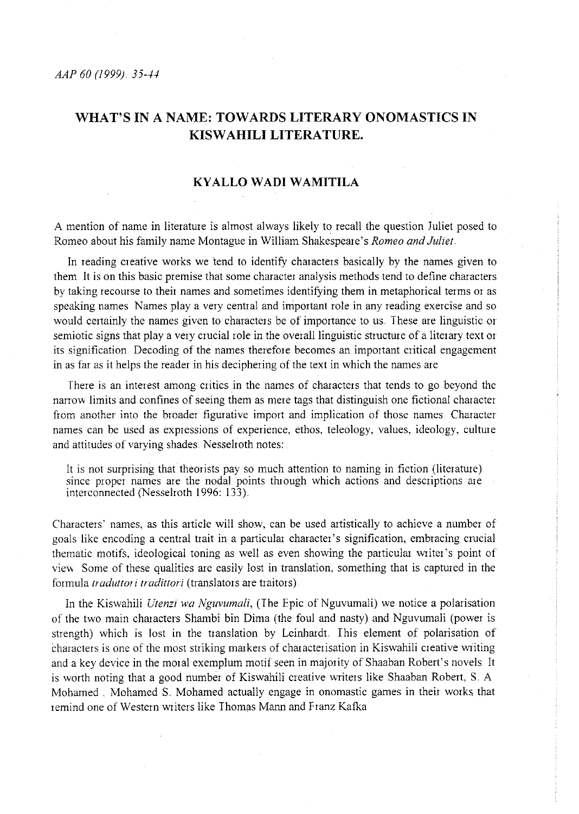# **WHAT'S** IN A **NAME: TOWARDS LITERARY ONOMASTICS IN KISW AHILI LITERATURE.**

# **KYALLO WADI WAMITILA**

A mention of name in literature is almost always likely to recall the question Juliet posed to Romeo about his family name Montague in William Shakespeare's *Romeo and Juliet.* 

In reading creative works we tend to identify characters basically by the names given to them It is on this basic premise that some character analysis methods tend to define characters by taking recourse to their names and sometimes identifying them in metaphorical terms or as speaking names Names play a very central and important role in any reading exercise and so would certainly the names given to characters be of importance to us. These are linguistic or semiotic signs that play a very crucial role in the overall linguistic structure of a literary text or its signification. Decoding of the names therefore becomes an important critical engagement in as far as it helps the reader in his deciphering of the text in which the names are

There is an interest among critics in the names of characters that tends to go beyond the nanow limits and confines of seeing them as mere tags that distinguish one fictional character fiom another into the broader figurative import and implication of those names Character names can be used as expressions of experience, ethos, teleology, values, ideology, culture and attitudes of varying shades. Nesselroth notes:

It is not surprising that theorists pay so much attention to naming in fiction (literature) since proper names are the nodal points through which actions and descriptions are interconnected (Nesselroth 1996: 133)

Characters' names, as this article will show, can be used artistically to achieve a number of goals like encoding a central trait in a particular character's signification, embracing crucial thematic motifs, ideological toning as well as even showing the particular writer's point of view Some of these qualities are easily lost in translation, something that is captured in the formula *traduttori tradittori* (translators are traitors)

In the Kiswahiii *Utenzi wa Nguvumali,* (The Epic of Nguvumali) we notice a polarisation of the two main characters Shambi bin Dima (the foul and nasty) and Nguvumali (power is strength) which is lost in the translation by Leinhardt. This element of polarisation of characters is one of the most striking markers of characterisation in Kiswahili creative writing and a key device in the moral exemplum motif seen in majority of Shaaban Robert's novels. It is worth noting that a good number of Kiswahili creative writers like Shaaban Robert, S. A Mohamed . Mohamed S. Mohamed actually engage in onomastic games in their works that remind one of Western writers like Thomas Mann and Franz Kafka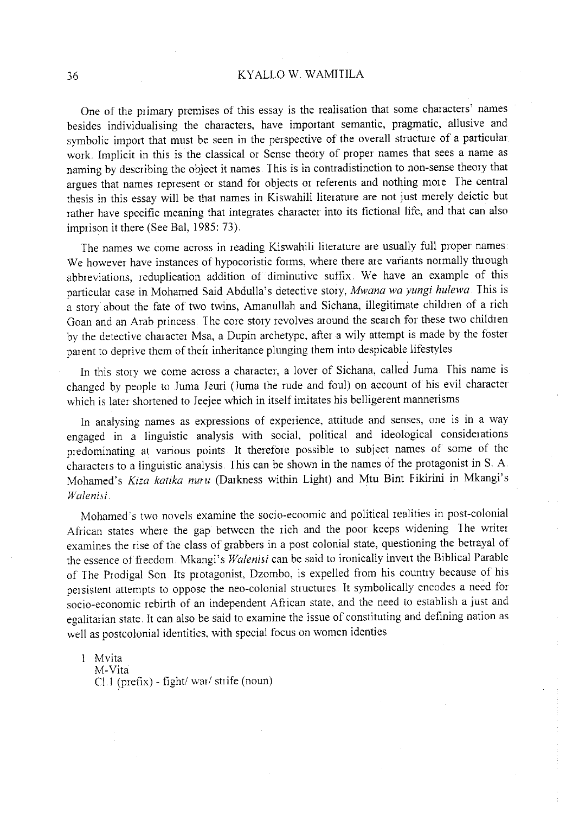# 36 KYALLO W. WAMIIILA

One of the piimary premises of this essay is the realisation that some characters' names besides individualising the characters, have important semantic, pragmatic, allusive and symbolic import that must be seen in the perspective of the overall structure of a particular work. Implicit in this is the classical or Sense theory of proper names that sees a name as naming by describing the object it names This is in contradistinction to non-sense theory that argues that names represent or stand for objects or referents and nothing more The central thesis in this essay will be that names in Kiswahili literature are not just merely deictic but rather have specific meaning that integrates character into its fictional life, and that can also imprison it there (See Bal, 1985: 73).

The names we come across in reading Kiswahili literature are usually full proper names We however have instances of hypocoristic forms, where there are variants normally through abbreviations, reduplication addition of diminutive suffix. We have an example of this particular case in Mohamed Said Abdulla's detective story, *Mwana wa yungi hulewa* This is a story about the fate of two twins, Amanullah and Sichana, illegitimate children of a rich Goan and an Arab princess. The core story revolves around the search for these two children by the detective character Msa, a Dupin archetype, after a wily attempt is made by the foster parent to deprive them of their inheritance plunging them into despicable lifestyles

In this story we come across a character, a lover of Sichana, called Juma. This name is changed by people to Juma Jeuri (Juma the rude and foul) on account of his evil character which is later shortened to Jeejee which in itself imitates his belligerent mannerisms

In analysing names as expressions of experience, attitude and senses, one is in a way engaged in a linguistic analysis with social, political and ideological considerations predominating at various points It therefore possible to subject names of some of the characters to a linguistic analysis. This can be shown in the names of the protagonist inS. A. Mohamed's *Kiza katika nuru* (Darkness within Light) and Mtu Bint Fikirini in Mkangi's *Walenisi* 

Mohamed's two novels examine the socio-ecoomic and political realities in post-colonial African states where the gap between the rich and the poor keeps widening The writer examines the rise of the class of grabbers in a post colonial state, questioning the betrayal of the essence of freedom. Mkangi's *Walenisi* can be said to ironically invert the Biblical Parable of The Prodigal Son Its protagonist, Dzombo, is expelled from his country because of his persistent attempts to oppose the neo-colonial structures. It symbolically encodes a need for socio-economic rebirth of an independent African state, and the need to establish a just and egalitarian state It can also be said to examine the issue of constituting and defining nation as well as postcolonial identities, with special focus on women identies

Mvita M-Vita Cl.l (prefix)- fight/ war/ strife (noun)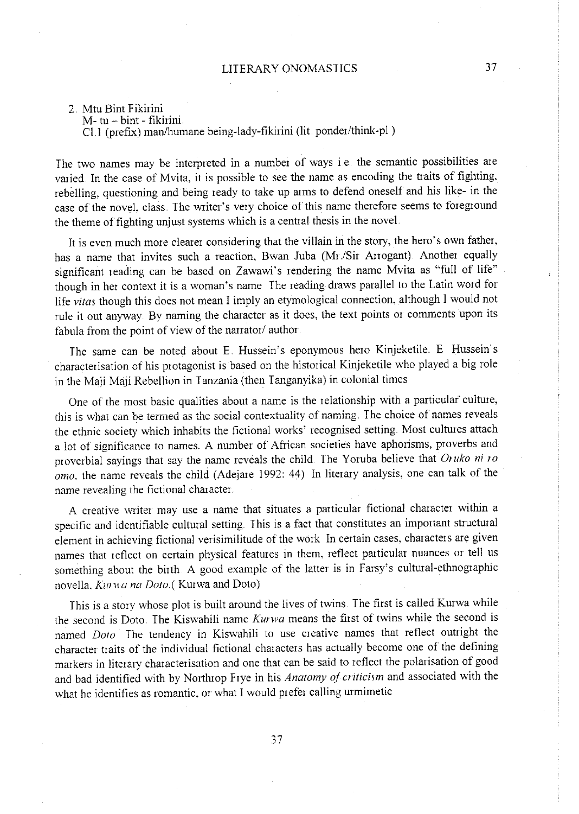# 2. Mtu Bint Fikirini

M- tu- bint - fikirini.

Cl I (prefix) man/humane being-lady-fikirini (lit ponder/think-pi)

The two names may be interpreted in a number of ways i.e. the semantic possibilities are varied In the case of Mvita, it is possible to see the name as encoding the traits of fighting, rebelling, questioning and being ready to take up arms to defend oneself and his like- in the case of the novel, class. The writer's very choice of this name therefore seems to foreground the theme of fighting unjust systems which is a central thesis in the novel.

It is even much more clearer considering that the villain in the story, the hero's own father, has a name that invites such a reaction, Bwan Juba (Mr./Sir Arrogant). Another equally significant reading can be based on Zawawi's rendering the name Mvita as "full of life" though in her context it is a woman's name The reading draws parallel to the Latin word for life vitas though this does not mean I imply an etymological connection, although I would not rule it out anyway. By naming the character as it does, the text points or comments upon its fabula from the point of view of the narrator/ author.

The same can be noted about E. Hussein's eponymous hero Kinjeketile. E. Hussein's characterisation of his protagonist is based on the historical Kinjeketile who played a big role in the Maji Maji Rebellion in I anzania (then I anganyika) in colonial times

One of the most basic qualities about a name is the relationship with a particular culture, **this is \vhat can be termed as the social contextuality of naming, The choice of names reveals**  the ethnic society which inhabits the fictional works' recognised setting. Most cultures attach a lot of significance to names. A number of African societies have aphorisms, proverbs and proverbial sayings that say the name reveals the child The Yoruba believe that *Oruko ni ro omo*, the name reveals the child (Adejare 1992: 44) In literary analysis, one can talk of the name revealing the fictional character

A creative wiiter may use a name that situates a particular fictional character within a specific and identifiable cultural setting. This is a fact that constitutes an important structural element in achieving fictional verisimilitude of the work In certain cases, characters are given names that reflect on certain physical features in them, reflect particular nuances or tell us something about the birth A good example of the latter is in Farsy's cultural-ethnographic novella, *Kurwa na Doto.* (Kurwa and Doto)

This is a story whose plot is built around the lives of twins. The first is called Kurwa while the second is Doto The Kiswahili name *Kurwa* means the first of twins while the second is named *Dolo* The tendency in Kiswahili to use creative names that reflect outright the character traits of the individual fictional characters has actually become one of the defining markers in literary characterisation and one that can be said to reflect the polarisation of goo<sup>d</sup> and bad identified with by Northrop Frye in his *Anatomy of criticism* and associated with the what he identifies as romantic, or what I would prefer calling urmimetic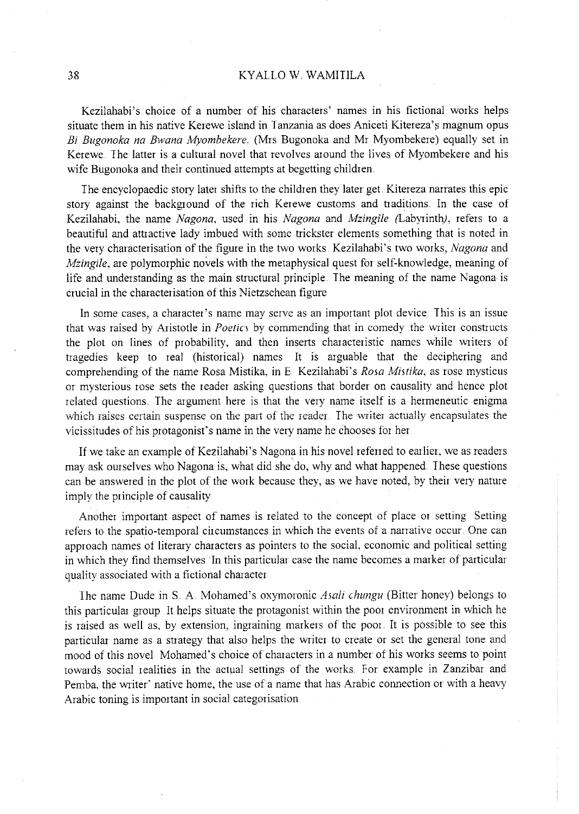#### 38 KYALLO W. WAMITILA

Kezilahabi's choice of a number of his characters' names in his fictional works helps situate them in his native Kerewe island in Tanzania as does Aniceti Kitereza's magnum opus *Bi Bugonoka na Bwana Myombekere,* (Mrs Bugonoka and Mr Myornbekere) equally set in Kerewe. The latter is a cultural novel that revolves around the lives of Myombekere and his wife Bugonoka and their continued attempts at begetting children.

The encyclopaedic story later shifts to the children they later get Kitereza narrates this epic story against the background of the rich Kerewe customs and traditions. In the case of Kezilahabi, the name *Nagana,* used in his *Nagana* and *Mzingile* (Labyrinth), refers to a beautiful and attractive lady imbued with some trickster elements something that is noted in the very characterisation of the figure in the two works. Kezilahabi's two works, *Nagana* and *Mzingile*, are polymorphic novels with the metaphysical quest for self-knowledge, meaning of life and understanding as the main structural principle. The meaning of the name Nagona is crucial in the characterisation of this Nietzschean figure

In some cases, a character's name may serve as an important plot device This is an issue that was raised by Aristotle in *Poetics* by commending that in comedy .the writer constructs the plot on lines of probability, and then inserts characteristic names while writers of tragedies keep to real (historical) names It is arguable that the deciphering and comprehending of the name Rosa Mistika, in E Kezilahabi's *Rosa Mistika*, as rose mysticus or mysterious rose sets the reader asking questions that border on causality and hence plot related questions The argument here is that the very name itself is a herrneneutic enigma **v;hich raises certain suspense on the part of the reader The writer actually encapsulates the**  vicissitudes of his protagonist's name in the very name he chooses for her

If we take an example of Kezilahabi's Nagona in his novel referred to earlier, we as readers may ask ourselves who Nagona is, what did she do, why and what happened. These questions can be answered in the plot of the work because they, as we have noted, by their very nature imply the principle of causality

Another important aspect of names is related to the concept of place 01 setting Setting refers to the spatia-temporal circumstances in which the events of a narrative occur. One can approach names of literary characters as pointers to the social, economic and political setting in which they find themselves In this particular case the name becomes a marker of particular quality associated with a fictional character

The name Dude in S A. Mohamed's oxymoronic *Asali chungu* (Bitter honey) belongs to this particular group It helps situate the protagonist within the poor environment in which he is raised as well as, by extension, ingraining markers of the poor It is possible to see this particular name as a strategy that also helps the writer to create or set the general tone and mood of this novel Mohamed's choice of characters in a number of his works seems to point towards social realities in the actual settings of the works. For example in Zanzibar and Pemba, the writer' native home, the use of a name that has Arabic connection or with a heavy Arabic toning is important in social categorisation.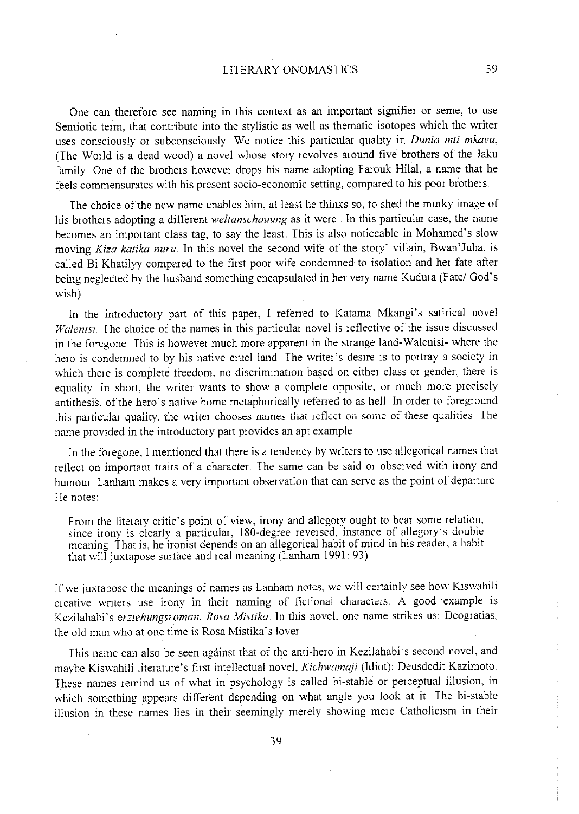One can therefcne see naming in this context as an important signifier or seme, to use Semiotic term, that contribute into the stylistic as well as thematic isotopes which the writer uses consciously or subconsciously We notice this particular quality in *Dunia mti mkavu,*  (The World is a dead wood) a novel whose story revolves around five brothers of the Jaku family One of the brothers however drops his name adopting Farouk Hilal, a name that he feels commensurates with his present socio-economic setting, compared to his poor brothers

The choice of the new name enables him, at least he thinks so, to shed the murky image of his brothers adopting a different *weltanschauung* as it were In this particular case, the name becomes an important class tag, to say the least. This is also noticeable in Mohamed's slow moving *Kiza katika nuru.* In this novel the second wife of the story' villain, Bwan'Juba, is called Bi Khatilyy compared to the first poor wife condemned to isolation and her fate after being neglected by the husband something encapsulated in her very name Kudura (Fate/ God's wish)

In the introductory part of this paper, I referred to Katama Mkangi's satirical novel *Walenisi* The choice of the names in this particular novel is reflective of the issue discussed in the foregone. This is however much more apparent in the strange land-Walenisi- where the hero is condemned to by his native cruel land The writer's desire is to portray a society in which there is complete freedom, no discrimination based on either class or gender. there is equality. In short, the writer wants to show a complete opposite, or much more precisely antithesis, of the hero's native home metaphorically referred to as hell In order to foreground **this particular quality, the \vriter chooses names tha! reflect on some of these quaJitjes** I he name provided in the introductory part provides an apt example

In the foregone, I mentioned that there is a tendency by writers to use allegorical names that reflect on important traits of a character The same can be said or observed with irony and humour. Lanham makes a very important observation that can serve as the point of departure He notes:

From the literary critic's point of view, irony and allegory ought to bear some relation. since irony is clearly a particular, 180-degree reversed, instance of allegory's double meaning That is, he ironist depends on an allegorical habit of mind in his reader, a habit that will juxtapose surface and real meaning (Lanham 1991: 93).

If we juxtapose the meanings of names as Lanham notes, we will certainly see how Kiswahili creative writers use irony in their naming of fictional characters A good example is Kezilahabi's *erziehungsroman, Rosa Mistika* In this novel, one name strikes us: Deogratias. the old man who at one time is Rosa Mistika's lover.

This name can also be seen against that of the anti-hero in Kezilahabi's second novel, and maybe Kiswahili literature's first intellectual novel, *Kichwama;i* (Idiot): Deusdedit Kazimoto. These names remind us of what in psychology is called bi-stable or perceptual illusion, in which something appears different depending on what angle you look at it The bi-stable illusion in these names lies in their seemingly merely showing mere Catholicism in their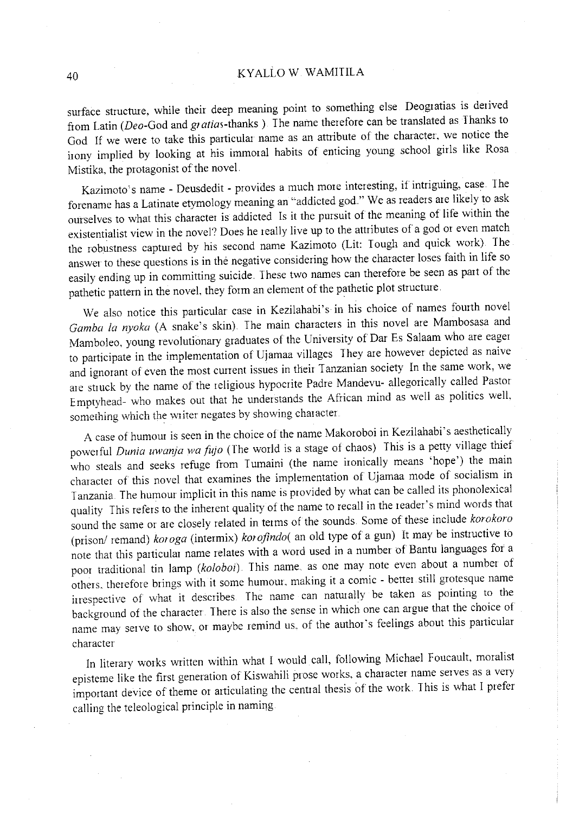surface structure, while their deep meaning point to something else. Deogratias is derived from Latin *(Deo-God* and *gratias-thanks* ) The name therefore can be translated as Thanks to God If we were to take this particular name as an attribute of the character, we notice the irony implied by looking at his immoral habits of enticing young school girls like Rosa Mistika, the protagonist of the novel

Kazimoto's name - Deusdedit - provides a much more interesting, if intriguing, case. The forename has a Latinate etymology meaning an "addicted god." We as readers are likely to ask ourselves to what this character is addicted Is it the pursuit of the meaning of life within the existentialist view in the novel? Does he really live up to the attributes of a god or even match the robustness captured by his second name Kazimoto (Lit: <sup>I</sup>ough and quick work) The answer to these questions is in the negative considering how the character loses faith in life so easily ending up in committing suicide. These two names can therefore be seen as part of the pathetic pattern in the novel, they form an element of the pathetic plot structure.

We also notice this particular case in Kezilahabi's in his choice of names fourth novel *Gamba la nyoka* (A snake's skin). The main characters in this novel are Mambosasa and Mamboleo, young revolutionary graduates of the University of Dar Es Salaam who are eager to participate in the implementation of Ujamaa villages They are however depicted as naive and ignorant of even the most current issues in their Tanzanian society In the same work, we are struck by the name of the religious hypocrite Padre Mandevu- allegorically called Pastor Emptyhead- who makes out that he understands the African mind as well as politics welL something which the writer negates by showing character

A case of humour is seen in the choice of the name Makoroboi in Kezilahabi's aesthetically powerful *Dunia uwanja wa fujo* (The world is a stage of chaos) This is a petty village thief who steals and seeks refuge from Tumaini (the name ironically means 'hope') the main character of this novel that examines the implementation of Ujamaa mode of socialism in <sup>I</sup>anzania The humour implicit in this name is provided by what can be called its phonolexical quality This refers to the inherent quality of the name to recall in the reader's mind words that sound the same or are closely related in terms of the sounds. Some of these include *korokoro*  (prison/ remand) *koroga* (intermix) *korofindo(* an old type of a gun) It may be instructive to note that this particular name relates with a word used in a number of Bantu languages for a poor traditional tin lamp (koloboi). This name, as one may note even about a number of others, therefore brings with it some humour, making it a comic - better still grotesque name irrespective of what it describes. The name can naturally be taken as pointing to the background of the character. There is also the sense in which one can argue that the choice of name may serve to show, or maybe remind us, of the author's feelings about this particular character

In literary works written within what I would call, following Michael Foucault, moralist episteme like the first generation of Kiswahili prose works, a character name serves as a very important device of theme or articulating the central thesis of the work This is what I prefer calling the teleological principle in naming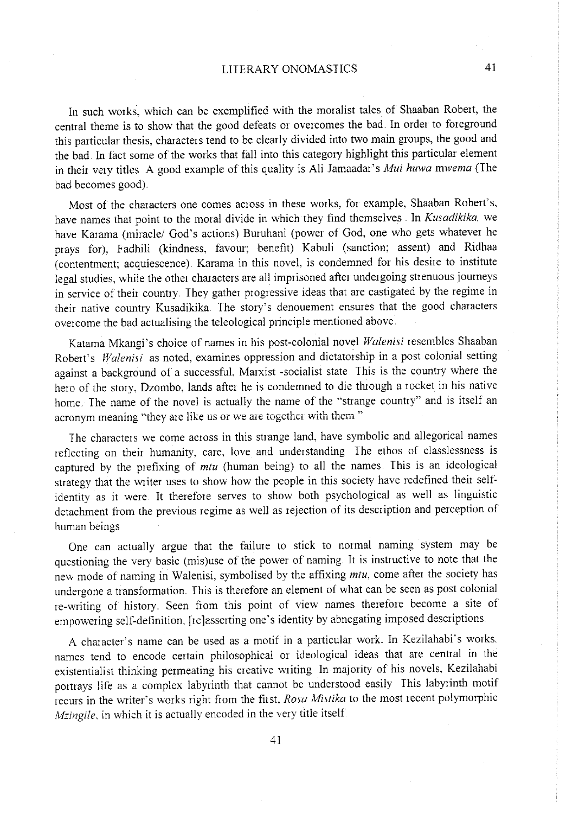# LITERARY ONOMASTICS 41

In such works, which can be exemplified with the moralist tales of Shaaban Robert, the central theme is to show that the good defeats or overcomes the bad. In order to foreground this particular thesis, characters tend to be clearly divided into two main groups, the good and the bad. In fact some of the works that fall into this category highlight this particular element in their very titles A good example of this quality is Ali Jamaadar's *Mui huwa mwema* (The bad becomes good).

Most of the characters one comes across in these works, for example, Shaaban Robert's, have names that point to the moral divide in which they find themselves In *Kusadikika.* we have Karama (miracle/ God's actions) Buruhani (power of God, one who gets whatever he prays for), Fadhili (kindness, favour; benefit) Kabuli (sanction; assent) and Ridhaa (contentment; acquiescence). Karama in this novel, is condemned for his desire to institute legal studies, while the other characters are all imprisoned after undergoing strenuous journeys in service of their country. They gather progressive ideas that are castigated by the regime in their native country Kusadikika. The story's denouement ensures that the good characters overcome the bad actualising the teleological principle mentioned above.

Katama Mkangi's choice of names in his post-colonial novel *Walenisi* resembles Shaaban Robert's *Walenisi* as noted, examines oppression and dictatorship in a post colonial setting against a background of a successful, Marxist -socialist state This is the country where the hero of the story, Dzombo, lands after he is condemned to die through a rocket in his native home. The name of the novel is actually the name of the "strange country" and is itself an **acronym meaning ''they are like us or v..re are together with them** "

The characters we come across in this strange land, have symbolic and allegorical names reflecting on their humanity, care, love and understanding The ethos of classlessness is captured by the prefixing of *mtu* (human being) to all the names This is an ideological strategy that the writer uses to show how the people in this society have redefined their selfidentity as it were It therefore serves to show both psychological as well as linguistic detachment from the previous regime as well as rejection of its description and perception of human beings

One can actually argue that the failure to stick to normal naming system may be questioning the very basic (mis)use of the power of naming. It is instructive to note that the nev. mode of naming in Walenisi, symbolised by the affixing *mtu,* come after the society has undergone a transformation. This is therefore an element of what can be seen as post colonial re-writing of history. Seen from this point of view names therefore become a site of empowering self-definition. [re]asserting one's identity by abnegating imposed descriptions

A character's name can be used as a motif in a particular work. In Kezilahabi's works. names tend to encode certain philosophical or ideological ideas that are central in the existentialist thinking permeating his creative writing In majority of his novels, Kezilahabi portrays life as a complex labyrinth that cannot be understood easily This labyrinth motif recurs in the writer's works right from the first, *Rosa Mistika* to the most recent polymorphic *Mzingile*, in which it is actually encoded in the very title itself.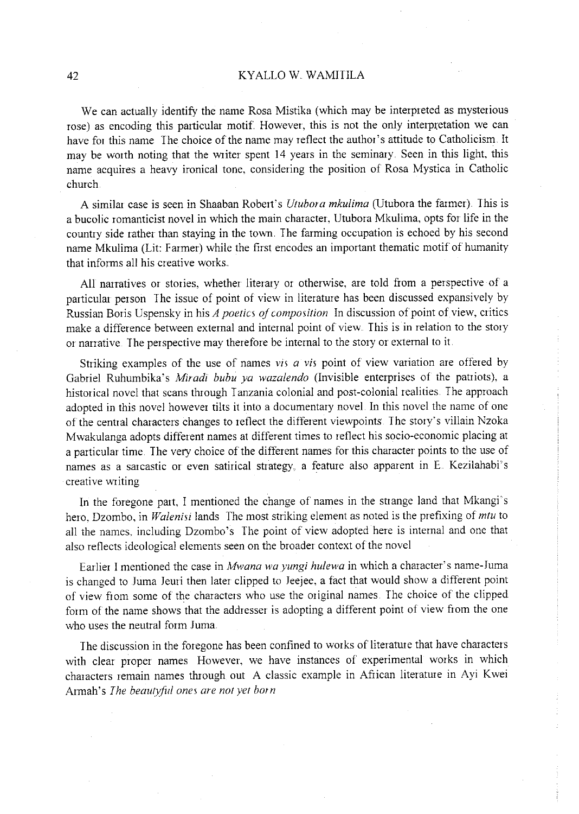# 42 KYALLO W WAMITILA

We can actually identify the name Rosa Mistika (which may be interpreted as mysterious rose) as encoding this particular motif. However, this is not the only interpretation we can have for this name The choice of the name may reflect the author's attitude to Catholicism. It may be worth noting that the writer spent 14 years in the seminary. Seen in this light, this name acquires a heavy ironical tone, considering the position of Rosa Mystica in Catholic church

A similar case is seen in Shaaban Robert's *Utubora mkulima* (Utubora the farmer). This is a bucolic romanticist novel in which the main character, Utubora Mkulima, opts for life in the country side rather than staying in the town. The farming occupation is echoed by his second name Mkulima (Lit: Farmer) while the first encodes an important thematic motif of humanity that informs all his creative works ..

All narratives or stories, whether literary or otherwise, are told fiom a perspective of <sup>a</sup> particular person The issue of point of view in literature has been discussed expansively by Russian Boris Uspensky in his *A poetics of composition* In discussion of point of view, critics make a difference between external and internal point of view. This is in relation to the story or narrative. The perspective may therefore be internal to the story or external to it.

Striking examples of the use of names *vis a vis* point of view variation are offered by Gabriel Ruhumbika's *Miradi bubu ya wazalendo* (Invisible enterprises of the patiiots), a historical novel that scans through Tanzania colonial and post-colonial realities. The approac<sup>h</sup> adopted in this novel however tilts it into a documentary novel. In this novel the name of one of the central characters changes to reflect the different viewpoints The story's viiiain Nzoka Mwakulanga adopts different names at different times to reflect his socio-economic placing at a particular time. The *very* choice of the different names for this character points to the use of names as a sarcastic or even satirical strategy, a feature also apparent in E. Kezilahabi's creative writing

In the foregone part, I mentioned the change of names in the strange land that Mkangi's hero. Dzombo, in *Walenisi* lands The most striking element as noted is the prefixing of *mtu* to all the names. including Dzombo's The point of view adopted here is intemal and one that also reflects ideological elements seen on the broader context of the novel

Earlier I mentioned the case in *Mwana wayungi hulewa* in which a character's name-Juma is changed to Juma Jeuri then later clipped to Jeejee, a fact that would show a different point of view from some of the characters who use the original names. The choice of the clipped form of the name shows that the addresser is adopting a different point of view from the one who uses the neutral form Juma.

The discussion in the foregone has been confined to works of literature that have characters with clear proper names However, we have instances of experimental works in which characters remain names through out A classic example in African literature in Ayi Kwei Armah's *The beautyful ones are not yet born*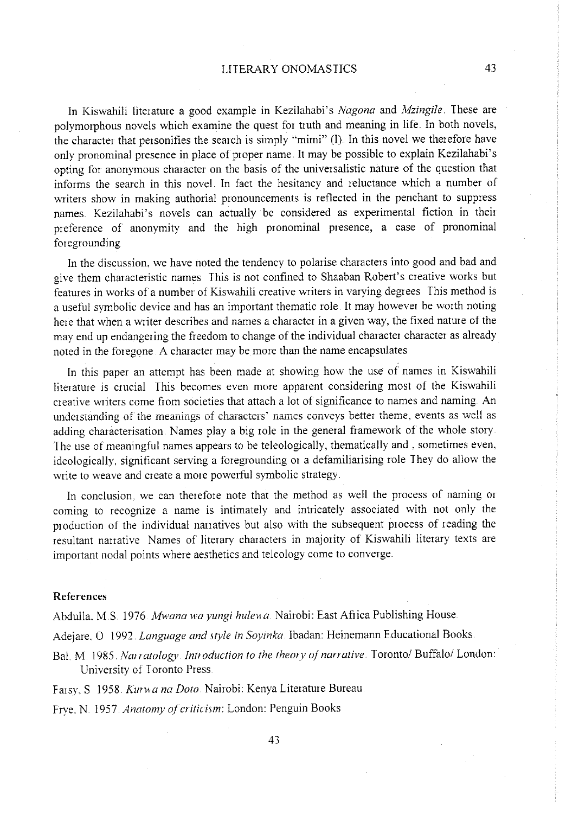In Kiswahili literature a good example in Kezilahabi's *Nagana* and *Mzingile* These are polymorphous novels which examine the quest for truth and meaning in life. In both novels, the character that personifies the search is simply "mimi" (I). In this novel we therefore have only pronominal presence in place of proper name. It may be possible to explain Kezilahabi's opting for anonymous character on the basis of the universalistic nature of the question that informs the search in this novel. In fact the hesitancy and reluctance which a number of writers show in making authorial pronouncements is reflected in the penchant to suppress names. Kezilahabi's novels can actually be considered as experimental fiction in their preference of anonymity and the high pronominal presence, a case of pronominal foregrounding

In the discussion, we have noted the tendency to polarise characters into good and bad and <sup>g</sup>ive them characteristic names This is not confined to Shaaban Robert's creative works but features in works of a number of Kiswahili creative writers in varying degrees This method is a useful symbolic device and has an important thematic role. It may however be worth noting here that when a writer describes and names a character in a given way, the fixed nature of the may end up endangering the freedom to change of the individual character character as already noted in the foregone A character may be more than the name encapsulates

In this paper an attempt has been made at showing how the use of names in Kiswahili literature is crucial This becomes even more apparent considering most of the Kiswahili creative writers come from societies that attach a lot of significance to names and naming An **undetstanding of the meanings of characters' names conveys better theme, events as well as**  adding characterisation. Names play a big role in the general fiamework of the whole story The use of meaningful names appears to be teleologically, thematically and , sometimes even, ideologically, significant serving a foregrounding or a defamiliarising role They do allow the write to weave and create a more powerful symbolic strategy.

In conclusion. we can therefore note that the method as well the process of naming or coming to recognize a name is intimately and intricately associated with not only the production of the individual nanatives but also with the subsequent process of reading the resultant nanative Names of literary characters in majority of Kiswahili literary texts are important nodal points where aesthetics and teleology come to converge

#### **References**

Abdulla, M.S. 1976. *Mwana wa yungi hulewa*. Nairobi: East Africa Publishing House.

Adejare. 0 1992. *Language and style in Soyinka* lbadan: Heinemann Educational Books.

BaL M 1985. *Narratology Introduction to the theory of narrative* Toronto/ Buffalo/ London: University of Toronto Press

Farsy, S 1958. Kurwa na Doto. Nairobi: Kenya Literature Bureau.

Frye .. N 1957 *Anatomy of er iticism:* London: Penguin Books